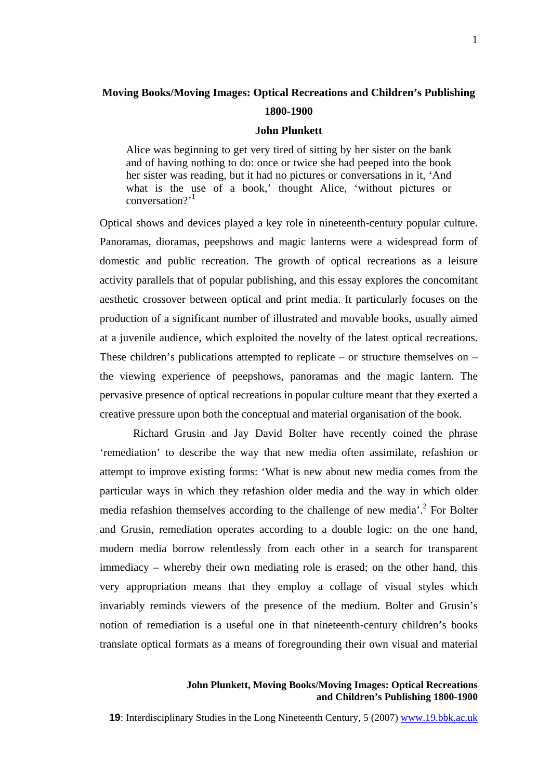# **Moving Books/Moving Images: Optical Recreations and Children's Publishing 1800-1900**

#### **John Plunkett**

Alice was beginning to get very tired of sitting by her sister on the bank and of having nothing to do: once or twice she had peeped into the book her sister was reading, but it had no pictures or conversations in it, 'And what is the use of a book,' thought Alice, 'without pictures or conversation?'<sup>[1](#page-26-0)</sup>

Optical shows and devices played a key role in nineteenth-century popular culture. Panoramas, dioramas, peepshows and magic lanterns were a widespread form of domestic and public recreation. The growth of optical recreations as a leisure activity parallels that of popular publishing, and this essay explores the concomitant aesthetic crossover between optical and print media. It particularly focuses on the production of a significant number of illustrated and movable books, usually aimed at a juvenile audience, which exploited the novelty of the latest optical recreations. These children's publications attempted to replicate – or structure themselves on – the viewing experience of peepshows, panoramas and the magic lantern. The pervasive presence of optical recreations in popular culture meant that they exerted a creative pressure upon both the conceptual and material organisation of the book.

Richard Grusin and Jay David Bolter have recently coined the phrase 'remediation' to describe the way that new media often assimilate, refashion or attempt to improve existing forms: 'What is new about new media comes from the particular ways in which they refashion older media and the way in which older mediarefashion themselves according to the challenge of new media'.<sup>2</sup> For Bolter and Grusin, remediation operates according to a double logic: on the one hand, modern media borrow relentlessly from each other in a search for transparent immediacy – whereby their own mediating role is erased; on the other hand, this very appropriation means that they employ a collage of visual styles which invariably reminds viewers of the presence of the medium. Bolter and Grusin's notion of remediation is a useful one in that nineteenth-century children's books translate optical formats as a means of foregrounding their own visual and material

### **John Plunkett, Moving Books/Moving Images: Optical Recreations and Children's Publishing 1800-1900**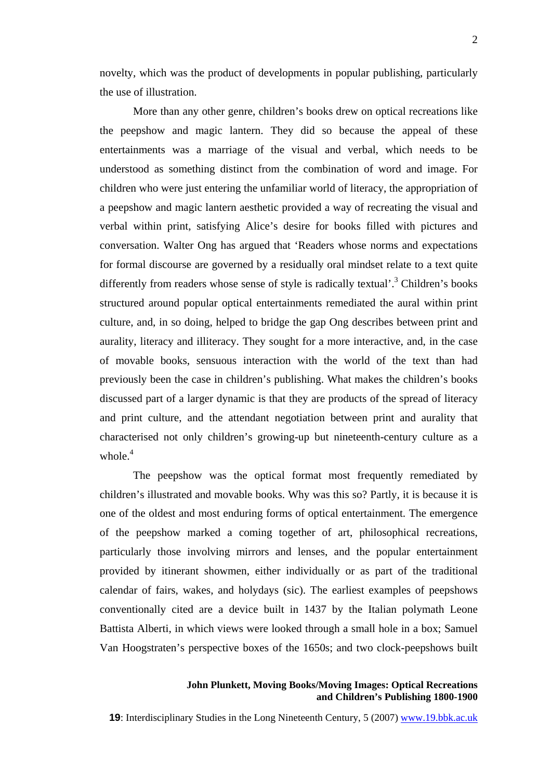novelty, which was the product of developments in popular publishing, particularly the use of illustration.

More than any other genre, children's books drew on optical recreations like the peepshow and magic lantern. They did so because the appeal of these entertainments was a marriage of the visual and verbal, which needs to be understood as something distinct from the combination of word and image. For children who were just entering the unfamiliar world of literacy, the appropriation of a peepshow and magic lantern aesthetic provided a way of recreating the visual and verbal within print, satisfying Alice's desire for books filled with pictures and conversation. Walter Ong has argued that 'Readers whose norms and expectations for formal discourse are governed by a residually oral mindset relate to a text quite differently from readers whose sense of style is radically textual'.<sup>[3](#page-26-2)</sup> Children's books structured around popular optical entertainments remediated the aural within print culture, and, in so doing, helped to bridge the gap Ong describes between print and aurality, literacy and illiteracy. They sought for a more interactive, and, in the case of movable books, sensuous interaction with the world of the text than had previously been the case in children's publishing. What makes the children's books discussed part of a larger dynamic is that they are products of the spread of literacy and print culture, and the attendant negotiation between print and aurality that characterised not only children's growing-up but nineteenth-century culture as a whole. $4$ 

The peepshow was the optical format most frequently remediated by children's illustrated and movable books. Why was this so? Partly, it is because it is one of the oldest and most enduring forms of optical entertainment. The emergence of the peepshow marked a coming together of art, philosophical recreations, particularly those involving mirrors and lenses, and the popular entertainment provided by itinerant showmen, either individually or as part of the traditional calendar of fairs, wakes, and holydays (sic). The earliest examples of peepshows conventionally cited are a device built in 1437 by the Italian polymath Leone Battista Alberti, in which views were looked through a small hole in a box; Samuel Van Hoogstraten's perspective boxes of the 1650s; and two clock-peepshows built

# **John Plunkett, Moving Books/Moving Images: Optical Recreations and Children's Publishing 1800-1900**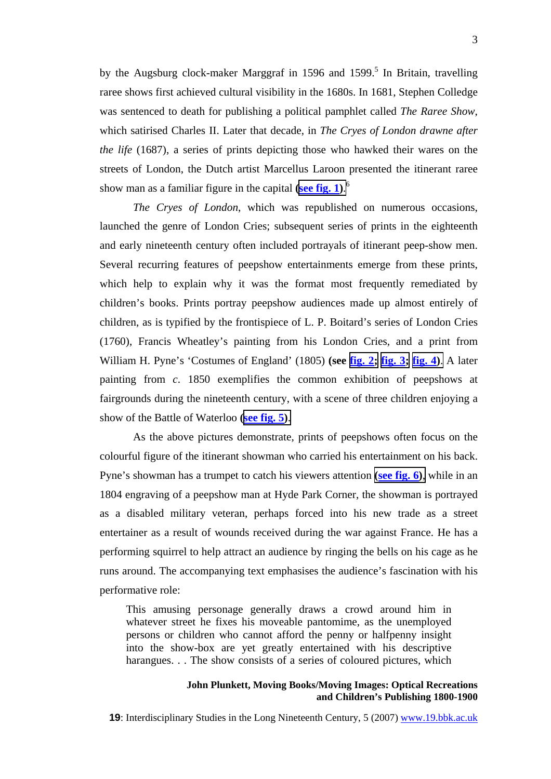bythe Augsburg clock-maker Marggraf in 1596 and 1599.<sup>5</sup> In Britain, travelling raree shows first achieved cultural visibility in the 1680s. In 1681, Stephen Colledge was sentenced to death for publishing a political pamphlet called *The Raree Show*, which satirised Charles II. Later that decade, in *The Cryes of London drawne after the life* (1687), a series of prints depicting those who hawked their wares on the streets of London, the Dutch artist Marcellus Laroon presented the itinerant raree show man as a familiar figure in the capital **(see fig. 1[\)](http://www.19.bbk.ac.uk/public/journals/3/no5_Plunkett_fig1_full.jpg)**. [6](#page-26-5)

*The Cryes of London*, which was republished on numerous occasions, launched the genre of London Cries; subsequent series of prints in the eighteenth and early nineteenth century often included portrayals of itinerant peep-show men. Several recurring features of peepshow entertainments emerge from these prints, which help to explain why it was the format most frequently remediated by children's books. Prints portray peepshow audiences made up almost entirely of children, as is typified by the frontispiece of L. P. Boitard's series of London Cries (1760), Francis Wheatley's painting from his London Cries, and a print from William H. Pyne's 'Costumes of England' (1805) **(see fig. 2[;](http://www.19.bbk.ac.uk/public/journals/3/no5_Plunkett_fig2_full.jpg) fig. 3[;](http://www.19.bbk.ac.uk/public/journals/3/no5_Plunkett_fig3_full.jpg) fig. [4\)](http://www.19.bbk.ac.uk/public/journals/3/no5_Plunkett_fig4_full.jpg)**. A later painting from *c*. 1850 exemplifies the common exhibition of peepshows at fairgrounds during the nineteenth century, with a scene of three children enjoying a show of the Battle of Waterloo **(see fig. 5[\)](http://www.19.bbk.ac.uk/public/journals/3/no5_Plunkett_fig5_full.jpg)**.

As the above pictures demonstrate, prints of peepshows often focus on the colourful figure of the itinerant showman who carried his entertainment on his back. Pyne's showman has a trumpet to catch his viewers attention **[\(](http://www.19.bbk.ac.uk/public/journals/3/no5_Plunkett_fig6_full.jpg)see fig. [6\)](http://www.19.bbk.ac.uk/public/journals/3/no5_Plunkett_fig6_full.jpg)**, while in an 1804 engraving of a peepshow man at Hyde Park Corner, the showman is portrayed as a disabled military veteran, perhaps forced into his new trade as a street entertainer as a result of wounds received during the war against France. He has a performing squirrel to help attract an audience by ringing the bells on his cage as he runs around. The accompanying text emphasises the audience's fascination with his performative role:

This amusing personage generally draws a crowd around him in whatever street he fixes his moveable pantomime, as the unemployed persons or children who cannot afford the penny or halfpenny insight into the show-box are yet greatly entertained with his descriptive harangues. . . The show consists of a series of coloured pictures, which

#### **John Plunkett, Moving Books/Moving Images: Optical Recreations and Children's Publishing 1800-1900**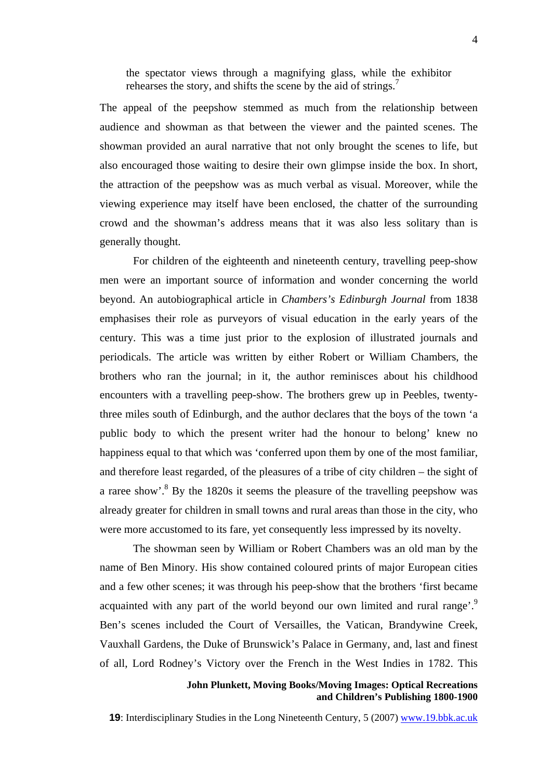the spectator views through a magnifying glass, while the exhibitor rehearses the story, and shifts the scene by the aid of strings.<sup>[7](#page-26-6)</sup>

The appeal of the peepshow stemmed as much from the relationship between audience and showman as that between the viewer and the painted scenes. The showman provided an aural narrative that not only brought the scenes to life, but also encouraged those waiting to desire their own glimpse inside the box. In short, the attraction of the peepshow was as much verbal as visual. Moreover, while the viewing experience may itself have been enclosed, the chatter of the surrounding crowd and the showman's address means that it was also less solitary than is generally thought.

For children of the eighteenth and nineteenth century, travelling peep-show men were an important source of information and wonder concerning the world beyond. An autobiographical article in *Chambers's Edinburgh Journal* from 1838 emphasises their role as purveyors of visual education in the early years of the century. This was a time just prior to the explosion of illustrated journals and periodicals. The article was written by either Robert or William Chambers, the brothers who ran the journal; in it, the author reminisces about his childhood encounters with a travelling peep-show. The brothers grew up in Peebles, twentythree miles south of Edinburgh, and the author declares that the boys of the town 'a public body to which the present writer had the honour to belong' knew no happiness equal to that which was 'conferred upon them by one of the most familiar, and therefore least regarded, of the pleasures of a tribe of city children – the sight of a raree show'. $8$  By the 1820s it seems the pleasure of the travelling peepshow was already greater for children in small towns and rural areas than those in the city, who were more accustomed to its fare, yet consequently less impressed by its novelty.

The showman seen by William or Robert Chambers was an old man by the name of Ben Minory. His show contained coloured prints of major European cities and a few other scenes; it was through his peep-show that the brothers 'first became acquainted with any part of the world beyond our own limited and rural range.<sup>[9](#page-26-8)</sup> Ben's scenes included the Court of Versailles, the Vatican, Brandywine Creek, Vauxhall Gardens, the Duke of Brunswick's Palace in Germany, and, last and finest of all, Lord Rodney's Victory over the French in the West Indies in 1782. This

# **John Plunkett, Moving Books/Moving Images: Optical Recreations and Children's Publishing 1800-1900**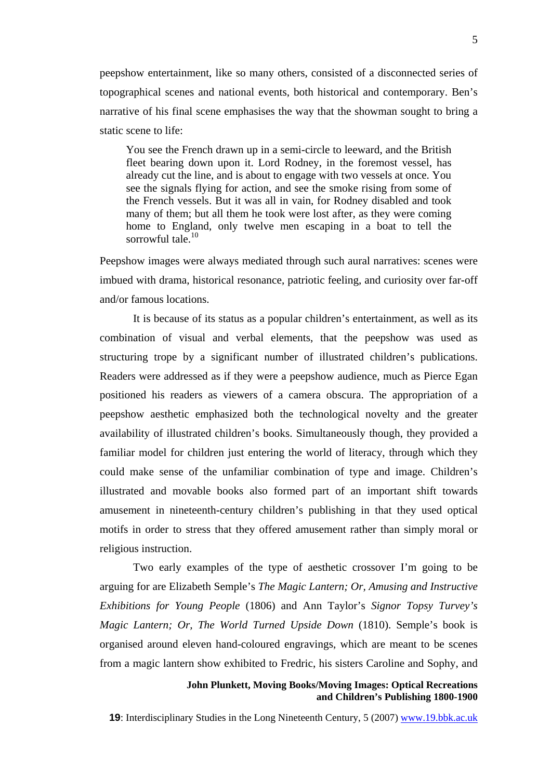peepshow entertainment, like so many others, consisted of a disconnected series of topographical scenes and national events, both historical and contemporary. Ben's narrative of his final scene emphasises the way that the showman sought to bring a static scene to life:

You see the French drawn up in a semi-circle to leeward, and the British fleet bearing down upon it. Lord Rodney, in the foremost vessel, has already cut the line, and is about to engage with two vessels at once. You see the signals flying for action, and see the smoke rising from some of the French vessels. But it was all in vain, for Rodney disabled and took many of them; but all them he took were lost after, as they were coming home to England, only twelve men escaping in a boat to tell the sorrowful tale. $10$ 

Peepshow images were always mediated through such aural narratives: scenes were imbued with drama, historical resonance, patriotic feeling, and curiosity over far-off and/or famous locations.

It is because of its status as a popular children's entertainment, as well as its combination of visual and verbal elements, that the peepshow was used as structuring trope by a significant number of illustrated children's publications. Readers were addressed as if they were a peepshow audience, much as Pierce Egan positioned his readers as viewers of a camera obscura. The appropriation of a peepshow aesthetic emphasized both the technological novelty and the greater availability of illustrated children's books. Simultaneously though, they provided a familiar model for children just entering the world of literacy, through which they could make sense of the unfamiliar combination of type and image. Children's illustrated and movable books also formed part of an important shift towards amusement in nineteenth-century children's publishing in that they used optical motifs in order to stress that they offered amusement rather than simply moral or religious instruction.

Two early examples of the type of aesthetic crossover I'm going to be arguing for are Elizabeth Semple's *The Magic Lantern; Or, Amusing and Instructive Exhibitions for Young People* (1806) and Ann Taylor's *Signor Topsy Turvey's Magic Lantern; Or, The World Turned Upside Down* (1810). Semple's book is organised around eleven hand-coloured engravings, which are meant to be scenes from a magic lantern show exhibited to Fredric, his sisters Caroline and Sophy, and

#### **John Plunkett, Moving Books/Moving Images: Optical Recreations and Children's Publishing 1800-1900**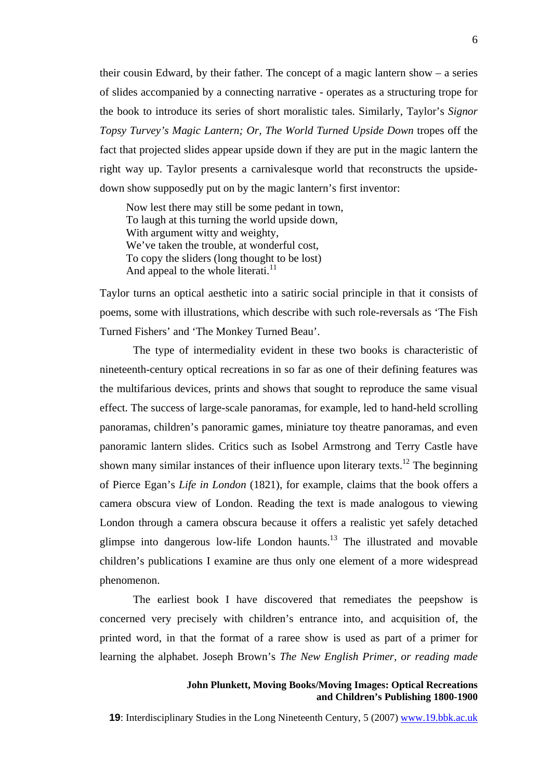their cousin Edward, by their father. The concept of a magic lantern show – a series of slides accompanied by a connecting narrative - operates as a structuring trope for the book to introduce its series of short moralistic tales. Similarly, Taylor's *Signor Topsy Turvey's Magic Lantern; Or, The World Turned Upside Down* tropes off the fact that projected slides appear upside down if they are put in the magic lantern the right way up. Taylor presents a carnivalesque world that reconstructs the upsidedown show supposedly put on by the magic lantern's first inventor:

Now lest there may still be some pedant in town, To laugh at this turning the world upside down, With argument witty and weighty, We've taken the trouble, at wonderful cost, To copy the sliders (long thought to be lost) And appeal to the whole literati. $^{11}$ 

Taylor turns an optical aesthetic into a satiric social principle in that it consists of poems, some with illustrations, which describe with such role-reversals as 'The Fish Turned Fishers' and 'The Monkey Turned Beau'.

The type of intermediality evident in these two books is characteristic of nineteenth-century optical recreations in so far as one of their defining features was the multifarious devices, prints and shows that sought to reproduce the same visual effect. The success of large-scale panoramas, for example, led to hand-held scrolling panoramas, children's panoramic games, miniature toy theatre panoramas, and even panoramic lantern slides. Critics such as Isobel Armstrong and Terry Castle have shown many similar instances of their influence upon literary texts.<sup>12</sup> The beginning of Pierce Egan's *Life in London* (1821), for example, claims that the book offers a camera obscura view of London. Reading the text is made analogous to viewing London through a camera obscura because it offers a realistic yet safely detached glimpse into dangerous low-life London haunts.[13](#page-26-12) The illustrated and movable children's publications I examine are thus only one element of a more widespread phenomenon.

The earliest book I have discovered that remediates the peepshow is concerned very precisely with children's entrance into, and acquisition of, the printed word, in that the format of a raree show is used as part of a primer for learning the alphabet. Joseph Brown's *The New English Primer, or reading made* 

### **John Plunkett, Moving Books/Moving Images: Optical Recreations and Children's Publishing 1800-1900**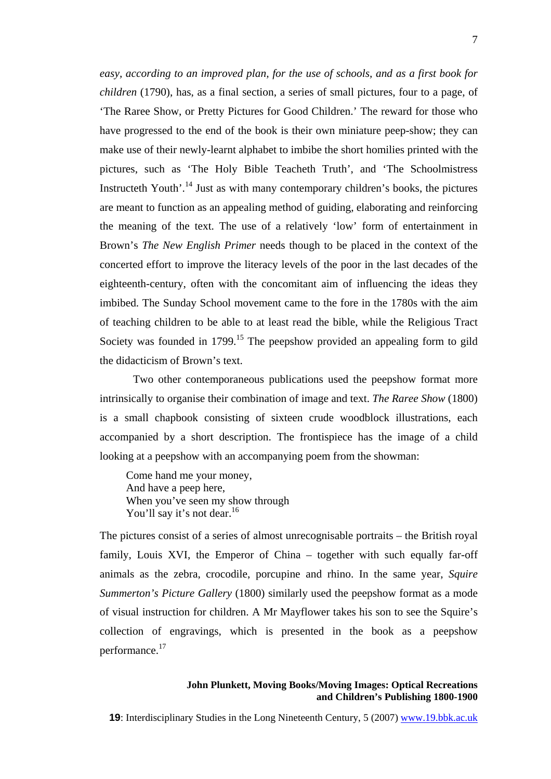*easy, according to an improved plan, for the use of schools, and as a first book for children* (1790), has, as a final section, a series of small pictures, four to a page, of 'The Raree Show, or Pretty Pictures for Good Children.' The reward for those who have progressed to the end of the book is their own miniature peep-show; they can make use of their newly-learnt alphabet to imbibe the short homilies printed with the pictures, such as 'The Holy Bible Teacheth Truth', and 'The Schoolmistress Instructeth Youth'.<sup>14</sup> Just as with many contemporary children's books, the pictures are meant to function as an appealing method of guiding, elaborating and reinforcing the meaning of the text. The use of a relatively 'low' form of entertainment in Brown's *The New English Primer* needs though to be placed in the context of the concerted effort to improve the literacy levels of the poor in the last decades of the eighteenth-century, often with the concomitant aim of influencing the ideas they imbibed. The Sunday School movement came to the fore in the 1780s with the aim of teaching children to be able to at least read the bible, while the Religious Tract Society was founded in 1799.<sup>15</sup> The peepshow provided an appealing form to gild the didacticism of Brown's text.

Two other contemporaneous publications used the peepshow format more intrinsically to organise their combination of image and text. *The Raree Show* (1800) is a small chapbook consisting of sixteen crude woodblock illustrations, each accompanied by a short description. The frontispiece has the image of a child looking at a peepshow with an accompanying poem from the showman:

Come hand me your money, And have a peep here, When you've seen my show through You'll say it's not dear.<sup>16</sup>

The pictures consist of a series of almost unrecognisable portraits – the British royal family, Louis XVI, the Emperor of China – together with such equally far-off animals as the zebra, crocodile, porcupine and rhino. In the same year, *Squire Summerton's Picture Gallery* (1800) similarly used the peepshow format as a mode of visual instruction for children. A Mr Mayflower takes his son to see the Squire's collection of engravings, which is presented in the book as a peepshow performance.[17](#page-26-15)

# **John Plunkett, Moving Books/Moving Images: Optical Recreations and Children's Publishing 1800-1900**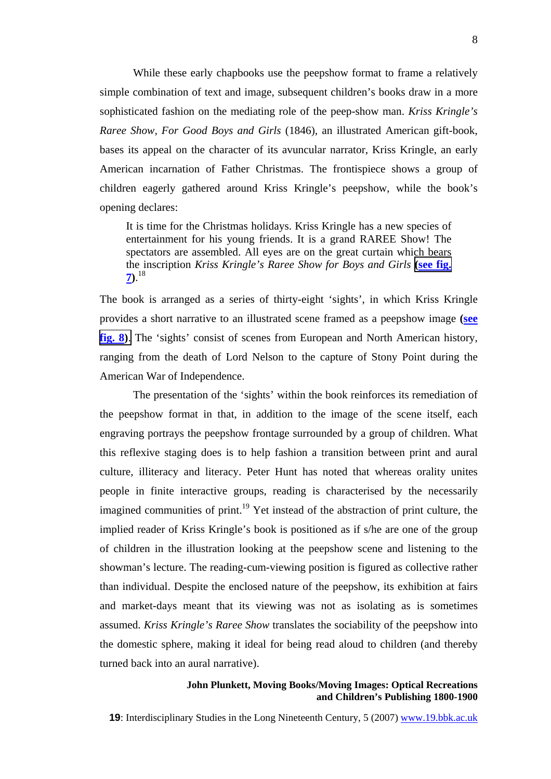While these early chapbooks use the peepshow format to frame a relatively simple combination of text and image, subsequent children's books draw in a more sophisticated fashion on the mediating role of the peep-show man. *Kriss Kringle's Raree Show, For Good Boys and Girls* (1846), an illustrated American gift-book, bases its appeal on the character of its avuncular narrator, Kriss Kringle, an early American incarnation of Father Christmas. The frontispiece shows a group of children eagerly gathered around Kriss Kringle's peepshow, while the book's opening declares:

It is time for the Christmas holidays. Kriss Kringle has a new species of entertainment for his young friends. It is a grand RAREE Show! The spectators are assembled. All eyes are on the great curtain which bears the inscription *Kriss Kringle's Raree Show for Boys and Girls* **[\(s](http://www.19.bbk.ac.uk/public/journals/3/no5_Plunkett_fig7_full.jpg)ee fig. 7** $\big)$ .<sup>18</sup>

The book is arranged as a series of thirty-eight 'sights', in which Kriss Kringle provides a short narrative to an illustrated scene framed as a peepshow image **(see fig. [8\)](http://www.19.bbk.ac.uk/public/journals/3/no5_Plunkett_fig8_full.jpg)**. The 'sights' consist of scenes from European and North American history, ranging from the death of Lord Nelson to the capture of Stony Point during the American War of Independence.

The presentation of the 'sights' within the book reinforces its remediation of the peepshow format in that, in addition to the image of the scene itself, each engraving portrays the peepshow frontage surrounded by a group of children. What this reflexive staging does is to help fashion a transition between print and aural culture, illiteracy and literacy. Peter Hunt has noted that whereas orality unites people in finite interactive groups, reading is characterised by the necessarily imagined communities of print.<sup>19</sup> Yet instead of the abstraction of print culture, the implied reader of Kriss Kringle's book is positioned as if s/he are one of the group of children in the illustration looking at the peepshow scene and listening to the showman's lecture. The reading-cum-viewing position is figured as collective rather than individual. Despite the enclosed nature of the peepshow, its exhibition at fairs and market-days meant that its viewing was not as isolating as is sometimes assumed. *Kriss Kringle's Raree Show* translates the sociability of the peepshow into the domestic sphere, making it ideal for being read aloud to children (and thereby turned back into an aural narrative).

#### **John Plunkett, Moving Books/Moving Images: Optical Recreations and Children's Publishing 1800-1900**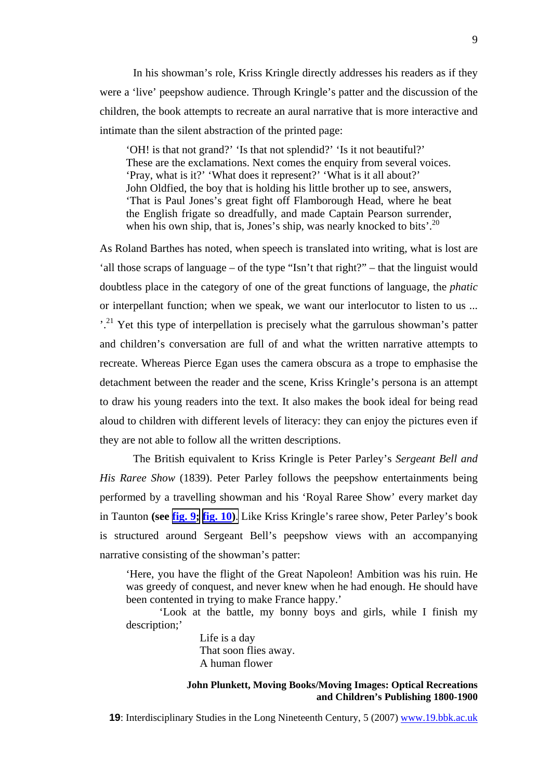In his showman's role, Kriss Kringle directly addresses his readers as if they were a 'live' peepshow audience. Through Kringle's patter and the discussion of the children, the book attempts to recreate an aural narrative that is more interactive and intimate than the silent abstraction of the printed page:

'OH! is that not grand?' 'Is that not splendid?' 'Is it not beautiful?' These are the exclamations. Next comes the enquiry from several voices. 'Pray, what is it?' 'What does it represent?' 'What is it all about?' John Oldfied, the boy that is holding his little brother up to see, answers, 'That is Paul Jones's great fight off Flamborough Head, where he beat the English frigate so dreadfully, and made Captain Pearson surrender, when his own ship, that is, Jones's ship, was nearly knocked to bits'.<sup>20</sup>

As Roland Barthes has noted, when speech is translated into writing, what is lost are 'all those scraps of language – of the type "Isn't that right?" – that the linguist would doubtless place in the category of one of the great functions of language, the *phatic* or interpellant function; when we speak, we want our interlocutor to listen to us ... <sup>21</sup>.<sup>21</sup> Yet this type of interpellation is precisely what the garrulous showman's patter and children's conversation are full of and what the written narrative attempts to recreate. Whereas Pierce Egan uses the camera obscura as a trope to emphasise the detachment between the reader and the scene, Kriss Kringle's persona is an attempt to draw his young readers into the text. It also makes the book ideal for being read aloud to children with different levels of literacy: they can enjoy the pictures even if they are not able to follow all the written descriptions.

The British equivalent to Kriss Kringle is Peter Parley's *Sergeant Bell and His Raree Show* (1839). Peter Parley follows the peepshow entertainments being performed by a travelling showman and his 'Royal Raree Show' every market day in Taunton **(see fig. 9[;](http://www.19.bbk.ac.uk/public/journals/3/no5_Plunkett_fig9_full.jpg) fig. 1[0\)](http://www.19.bbk.ac.uk/public/journals/3/no5_Plunkett_fig10_full.jpg)**. Like Kriss Kringle's raree show, Peter Parley's book is structured around Sergeant Bell's peepshow views with an accompanying narrative consisting of the showman's patter:

'Here, you have the flight of the Great Napoleon! Ambition was his ruin. He was greedy of conquest, and never knew when he had enough. He should have been contented in trying to make France happy.'

'Look at the battle, my bonny boys and girls, while I finish my description;'

> Life is a day That soon flies away. A human flower

# **John Plunkett, Moving Books/Moving Images: Optical Recreations and Children's Publishing 1800-1900**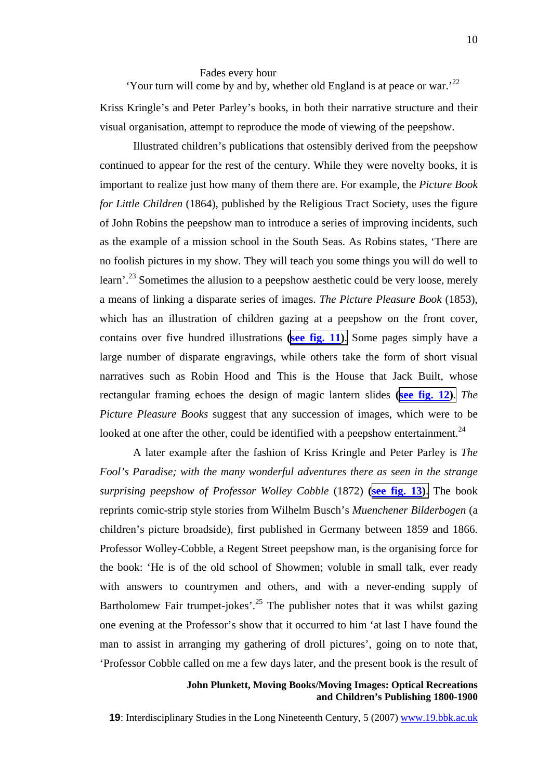# Fades every hour 'Your turn will come by and by, whether old England is at peace or war.'[22](#page-26-6)

Kriss Kringle's and Peter Parley's books, in both their narrative structure and their visual organisation, attempt to reproduce the mode of viewing of the peepshow.

Illustrated children's publications that ostensibly derived from the peepshow continued to appear for the rest of the century. While they were novelty books, it is important to realize just how many of them there are. For example, the *Picture Book for Little Children* (1864), published by the Religious Tract Society, uses the figure of John Robins the peepshow man to introduce a series of improving incidents, such as the example of a mission school in the South Seas. As Robins states, 'There are no foolish pictures in my show. They will teach you some things you will do well to learn'.<sup>23</sup> Sometimes the allusion to a peepshow aesthetic could be very loose, merely a means of linking a disparate series of images. *The Picture Pleasure Book* (1853), which has an illustration of children gazing at a peepshow on the front cover, contains over five hundred illustrations **(see fig. 11[\)](http://www.19.bbk.ac.uk/public/journals/3/no5_Plunkett_fig11_full.jpg)**. Some pages simply have a large number of disparate engravings, while others take the form of short visual narratives such as Robin Hood and This is the House that Jack Built, whose rectangular framing echoes the design of magic lantern slides **(see fig. 12[\)](http://www.19.bbk.ac.uk/public/journals/3/no5_Plunkett_fig12_full.jpg)**. *The Picture Pleasure Books* suggest that any succession of images, which were to be looked at one after the other, could be identified with a peepshow entertainment.<sup>24</sup>

A later example after the fashion of Kriss Kringle and Peter Parley is *The Fool's Paradise; with the many wonderful adventures there as seen in the strange surprising peepshow of Professor Wolley Cobble* (1872) **(see fig. 13[\)](http://www.19.bbk.ac.uk/public/journals/3/no5_Plunkett_fig13_full.jpg)**. The book reprints comic-strip style stories from Wilhelm Busch's *Muenchener Bilderbogen* (a children's picture broadside), first published in Germany between 1859 and 1866. Professor Wolley-Cobble, a Regent Street peepshow man, is the organising force for the book: 'He is of the old school of Showmen; voluble in small talk, ever ready with answers to countrymen and others, and with a never-ending supply of Bartholomew Fair trumpet-jokes'.<sup>25</sup> The publisher notes that it was whilst gazing one evening at the Professor's show that it occurred to him 'at last I have found the man to assist in arranging my gathering of droll pictures', going on to note that, 'Professor Cobble called on me a few days later, and the present book is the result of

# **John Plunkett, Moving Books/Moving Images: Optical Recreations and Children's Publishing 1800-1900**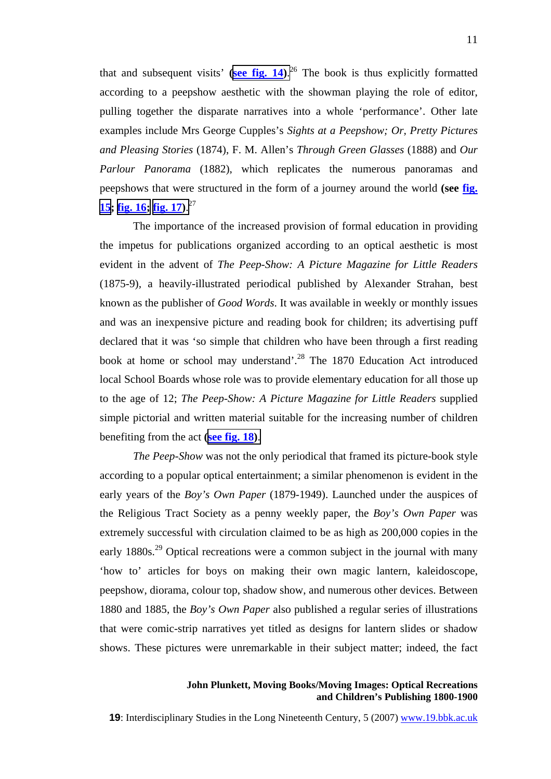that and subsequent visits' (see fig. 14[\)](http://www.19.bbk.ac.uk/public/journals/3/no5_Plunkett_fig14_full.jpg).<sup>26</sup> The book is thus explicitly formatted according to a peepshow aesthetic with the showman playing the role of editor, pulling together the disparate narratives into a whole 'performance'. Other late examples include Mrs George Cupples's *Sights at a Peepshow; Or, Pretty Pictures and Pleasing Stories* (1874), F. M. Allen's *Through Green Glasses* (1888) and *Our Parlour Panorama* (1882), which replicates the numerous panoramas and peepshows that were structured in the form of a journey around the world **(see fig. 15; fig. 1[6;](http://www.19.bbk.ac.uk/public/journals/3/no5_Plunkett_fig16_full.jpg) fig. 17[\)](http://www.19.bbk.ac.uk/public/journals/3/no5_Plunkett_fig17_full.jpg)**. [27](#page-26-21) 

The importance of the increased provision of formal education in providing the impetus for publications organized according to an optical aesthetic is most evident in the advent of *The Peep-Show: A Picture Magazine for Little Readers* (1875-9)*,* a heavily-illustrated periodical published by Alexander Strahan, best known as the publisher of *Good Words*. It was available in weekly or monthly issues and was an inexpensive picture and reading book for children; its advertising puff declared that it was 'so simple that children who have been through a first reading book at home or school may understand'.<sup>28</sup> The 1870 Education Act introduced local School Boards whose role was to provide elementary education for all those up to the age of 12; *The Peep-Show: A Picture Magazine for Little Readers* supplied simple pictorial and written material suitable for the increasing number of children benefiting from the act **(see fig. 1[8\)](http://www.19.bbk.ac.uk/public/journals/3/no5_Plunkett_fig18_full.jpg)**.

*The Peep-Show* was not the only periodical that framed its picture-book style according to a popular optical entertainment; a similar phenomenon is evident in the early years of the *Boy's Own Paper* (1879-1949). Launched under the auspices of the Religious Tract Society as a penny weekly paper, the *Boy's Own Paper* was extremely successful with circulation claimed to be as high as 200,000 copies in the early 1880s.<sup>29</sup> Optical recreations were a common subject in the journal with many 'how to' articles for boys on making their own magic lantern, kaleidoscope, peepshow, diorama, colour top, shadow show, and numerous other devices. Between 1880 and 1885, the *Boy's Own Paper* also published a regular series of illustrations that were comic-strip narratives yet titled as designs for lantern slides or shadow shows. These pictures were unremarkable in their subject matter; indeed, the fact

# **John Plunkett, Moving Books/Moving Images: Optical Recreations and Children's Publishing 1800-1900**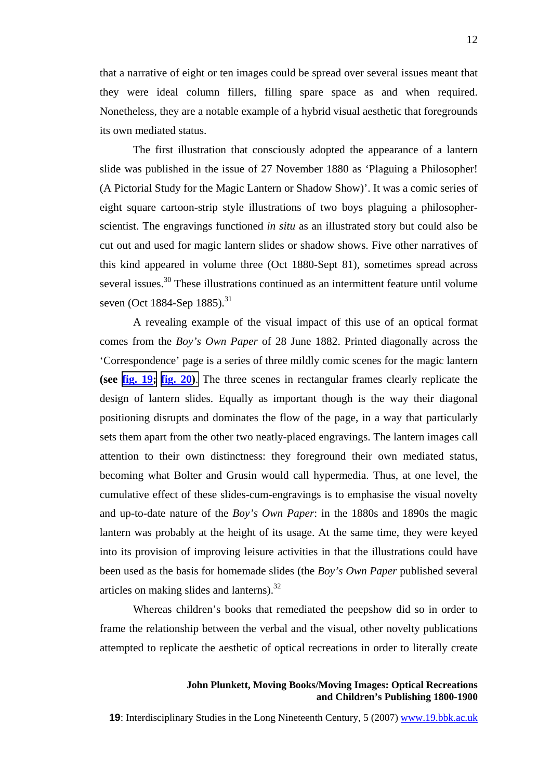that a narrative of eight or ten images could be spread over several issues meant that they were ideal column fillers, filling spare space as and when required. Nonetheless, they are a notable example of a hybrid visual aesthetic that foregrounds its own mediated status.

The first illustration that consciously adopted the appearance of a lantern slide was published in the issue of 27 November 1880 as 'Plaguing a Philosopher! (A Pictorial Study for the Magic Lantern or Shadow Show)'. It was a comic series of eight square cartoon-strip style illustrations of two boys plaguing a philosopherscientist. The engravings functioned *in situ* as an illustrated story but could also be cut out and used for magic lantern slides or shadow shows. Five other narratives of this kind appeared in volume three (Oct 1880-Sept 81), sometimes spread across several issues.<sup>30</sup> These illustrations continued as an intermittent feature until volume seven (Oct 1884-Sep 1885).<sup>31</sup>

A revealing example of the visual impact of this use of an optical format comes from the *Boy's Own Paper* of 28 June 1882. Printed diagonally across the 'Correspondence' page is a series of three mildly comic scenes for the magic lantern **(see fig. 1[9;](http://www.19.bbk.ac.uk/public/journals/3/no5_Plunkett_fig19_full.jpg) fig. 2[0\)](http://www.19.bbk.ac.uk/public/journals/3/no5_Plunkett_fig20_full.jpg)**. The three scenes in rectangular frames clearly replicate the design of lantern slides. Equally as important though is the way their diagonal positioning disrupts and dominates the flow of the page, in a way that particularly sets them apart from the other two neatly-placed engravings. The lantern images call attention to their own distinctness: they foreground their own mediated status, becoming what Bolter and Grusin would call hypermedia. Thus, at one level, the cumulative effect of these slides-cum-engravings is to emphasise the visual novelty and up-to-date nature of the *Boy's Own Paper*: in the 1880s and 1890s the magic lantern was probably at the height of its usage. At the same time, they were keyed into its provision of improving leisure activities in that the illustrations could have been used as the basis for homemade slides (the *Boy's Own Paper* published several articles on making slides and lanterns). $32$ 

Whereas children's books that remediated the peepshow did so in order to frame the relationship between the verbal and the visual, other novelty publications attempted to replicate the aesthetic of optical recreations in order to literally create

**John Plunkett, Moving Books/Moving Images: Optical Recreations and Children's Publishing 1800-1900**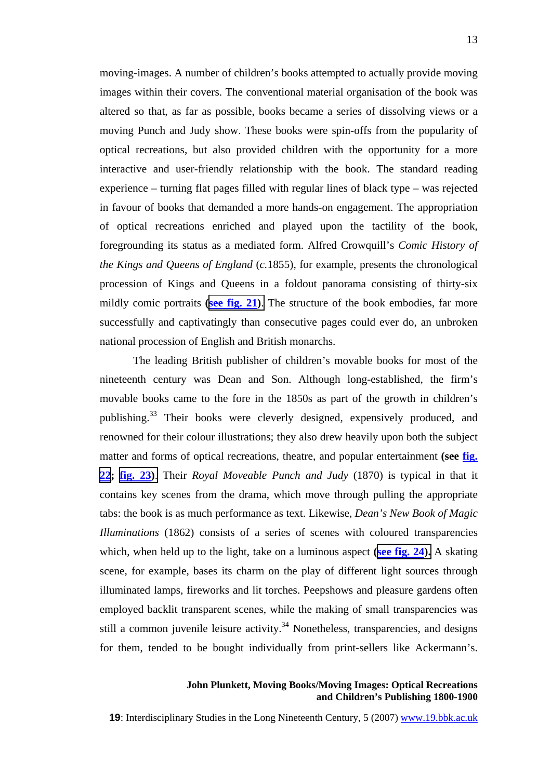moving-images. A number of children's books attempted to actually provide moving images within their covers. The conventional material organisation of the book was altered so that, as far as possible, books became a series of dissolving views or a moving Punch and Judy show. These books were spin-offs from the popularity of optical recreations, but also provided children with the opportunity for a more interactive and user-friendly relationship with the book. The standard reading experience – turning flat pages filled with regular lines of black type – was rejected in favour of books that demanded a more hands-on engagement. The appropriation of optical recreations enriched and played upon the tactility of the book, foregrounding its status as a mediated form. Alfred Crowquill's *Comic History of the Kings and Queens of England* (*c.*1855), for example, presents the chronological procession of Kings and Queens in a foldout panorama consisting of thirty-six mildly comic portraits **(see fig. 21[\)](http://www.19.bbk.ac.uk/public/journals/3/no5_Plunkett_fig21_full.jpg)**. The structure of the book embodies, far more successfully and captivatingly than consecutive pages could ever do, an unbroken national procession of English and British monarchs.

The leading British publisher of children's movable books for most of the nineteenth century was Dean and Son. Although long-established, the firm's movable books came to the fore in the 1850s as part of the growth in children's publishing.[33](#page-26-26) Their books were cleverly designed, expensively produced, and renowned for their colour illustrations; they also drew heavily upon both the subject matter and forms of optical recreations, theatre, and popular entertainment **(see fig. 22; fig. 2[3\)](http://www.19.bbk.ac.uk/public/journals/3/no5_Plunkett_fig23_full.jpg)**. Their *Royal Moveable Punch and Judy* (1870) is typical in that it contains key scenes from the drama, which move through pulling the appropriate tabs: the book is as much performance as text. Likewise, *Dean's New Book of Magic Illuminations* (1862) consists of a series of scenes with coloured transparencies which, when held up to the light, take on a luminous aspect **(see fig. 2[4\).](http://www.19.bbk.ac.uk/public/journals/3/no5_Plunkett_fig24_full.jpg)** A skating scene, for example, bases its charm on the play of different light sources through illuminated lamps, fireworks and lit torches. Peepshows and pleasure gardens often employed backlit transparent scenes, while the making of small transparencies was still a common juvenile leisure activity.<sup>34</sup> Nonetheless, transparencies, and designs for them, tended to be bought individually from print-sellers like Ackermann's.

### **John Plunkett, Moving Books/Moving Images: Optical Recreations and Children's Publishing 1800-1900**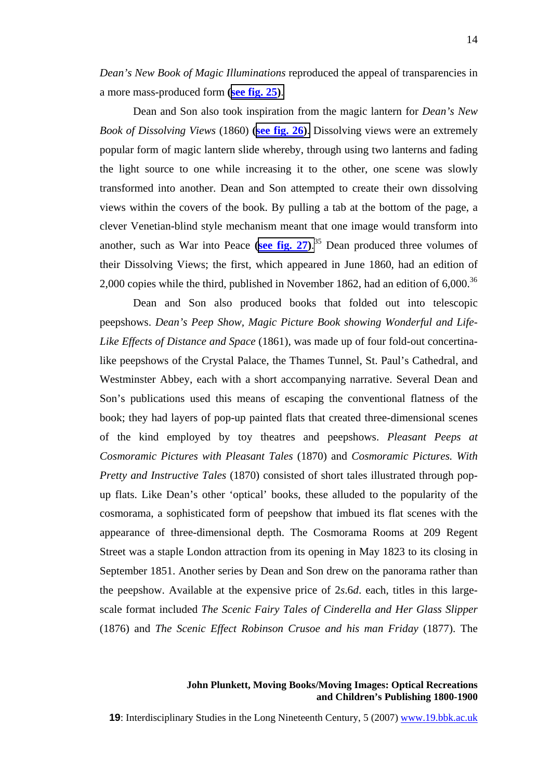*Dean's New Book of Magic Illuminations* reproduced the appeal of transparencies in a more mass-produced form **(see fig. 2[5\)](http://www.19.bbk.ac.uk/public/journals/3/no5_Plunkett_fig25_full.jpg)**.

Dean and Son also took inspiration from the magic lantern for *Dean's New Book of Dissolving Views* (1860) **(see fig. 26[\)](http://www.19.bbk.ac.uk/public/journals/3/no5_Plunkett_fig26_full.jpg)**. Dissolving views were an extremely popular form of magic lantern slide whereby, through using two lanterns and fading the light source to one while increasing it to the other, one scene was slowly transformed into another. Dean and Son attempted to create their own dissolving views within the covers of the book. By pulling a tab at the bottom of the page, a clever Venetian-blind style mechanism meant that one image would transform into another, such as War into Peace **(see fig. 2[7\)](http://www.19.bbk.ac.uk/public/journals/3/no5_Plunkett_fig27_full.jpg)**. [35](#page-26-28) Dean produced three volumes of their Dissolving Views; the first, which appeared in June 1860, had an edition of 2,000 copies while the third, published in November 1862, had an edition of  $6,000$ .<sup>36</sup>

Dean and Son also produced books that folded out into telescopic peepshows. *Dean's Peep Show, Magic Picture Book showing Wonderful and Life-Like Effects of Distance and Space* (1861), was made up of four fold-out concertinalike peepshows of the Crystal Palace, the Thames Tunnel, St. Paul's Cathedral, and Westminster Abbey, each with a short accompanying narrative. Several Dean and Son's publications used this means of escaping the conventional flatness of the book; they had layers of pop-up painted flats that created three-dimensional scenes of the kind employed by toy theatres and peepshows. *Pleasant Peeps at Cosmoramic Pictures with Pleasant Tales* (1870) and *Cosmoramic Pictures. With Pretty and Instructive Tales* (1870) consisted of short tales illustrated through popup flats. Like Dean's other 'optical' books, these alluded to the popularity of the cosmorama, a sophisticated form of peepshow that imbued its flat scenes with the appearance of three-dimensional depth. The Cosmorama Rooms at 209 Regent Street was a staple London attraction from its opening in May 1823 to its closing in September 1851. Another series by Dean and Son drew on the panorama rather than the peepshow. Available at the expensive price of 2*s*.6*d*. each, titles in this largescale format included *The Scenic Fairy Tales of Cinderella and Her Glass Slipper*  (1876) and *The Scenic Effect Robinson Crusoe and his man Friday* (1877). The

# **John Plunkett, Moving Books/Moving Images: Optical Recreations and Children's Publishing 1800-1900**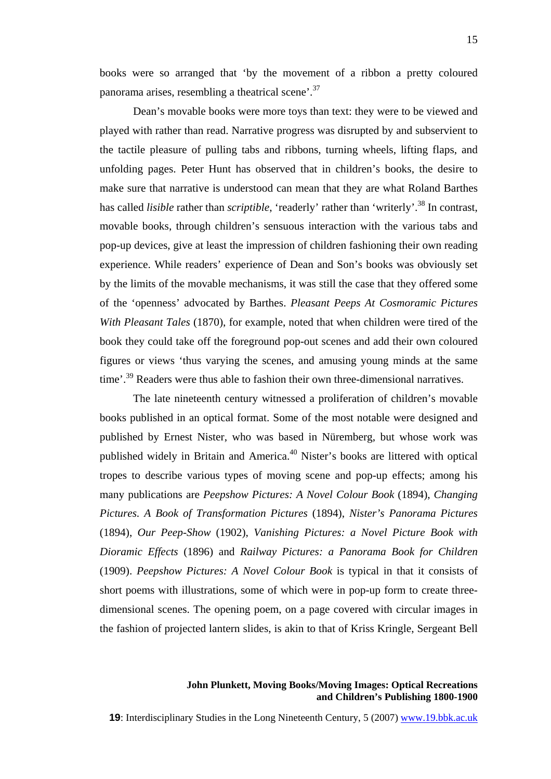books were so arranged that 'by the movement of a ribbon a pretty coloured panorama arises, resembling a theatrical scene'.[37](#page-26-29)

Dean's movable books were more toys than text: they were to be viewed and played with rather than read. Narrative progress was disrupted by and subservient to the tactile pleasure of pulling tabs and ribbons, turning wheels, lifting flaps, and unfolding pages. Peter Hunt has observed that in children's books, the desire to make sure that narrative is understood can mean that they are what Roland Barthes has called *lisible* rather than *scriptible*, 'readerly' rather than 'writerly'.<sup>38</sup> In contrast, movable books, through children's sensuous interaction with the various tabs and pop-up devices, give at least the impression of children fashioning their own reading experience. While readers' experience of Dean and Son's books was obviously set by the limits of the movable mechanisms, it was still the case that they offered some of the 'openness' advocated by Barthes. *Pleasant Peeps At Cosmoramic Pictures With Pleasant Tales* (1870), for example, noted that when children were tired of the book they could take off the foreground pop-out scenes and add their own coloured figures or views 'thus varying the scenes, and amusing young minds at the same time'.<sup>39</sup> Readers were thus able to fashion their own three-dimensional narratives.

The late nineteenth century witnessed a proliferation of children's movable books published in an optical format. Some of the most notable were designed and published by Ernest Nister, who was based in Nüremberg, but whose work was published widely in Britain and America.[40](#page-26-3) Nister's books are littered with optical tropes to describe various types of moving scene and pop-up effects; among his many publications are *Peepshow Pictures: A Novel Colour Book* (1894), *Changing Pictures. A Book of Transformation Pictures* (1894), *Nister's Panorama Pictures*  (1894), *Our Peep-Show* (1902), *Vanishing Pictures: a Novel Picture Book with Dioramic Effects* (1896) and *Railway Pictures: a Panorama Book for Children*  (1909). *Peepshow Pictures: A Novel Colour Book* is typical in that it consists of short poems with illustrations, some of which were in pop-up form to create threedimensional scenes. The opening poem, on a page covered with circular images in the fashion of projected lantern slides, is akin to that of Kriss Kringle, Sergeant Bell

# **John Plunkett, Moving Books/Moving Images: Optical Recreations and Children's Publishing 1800-1900**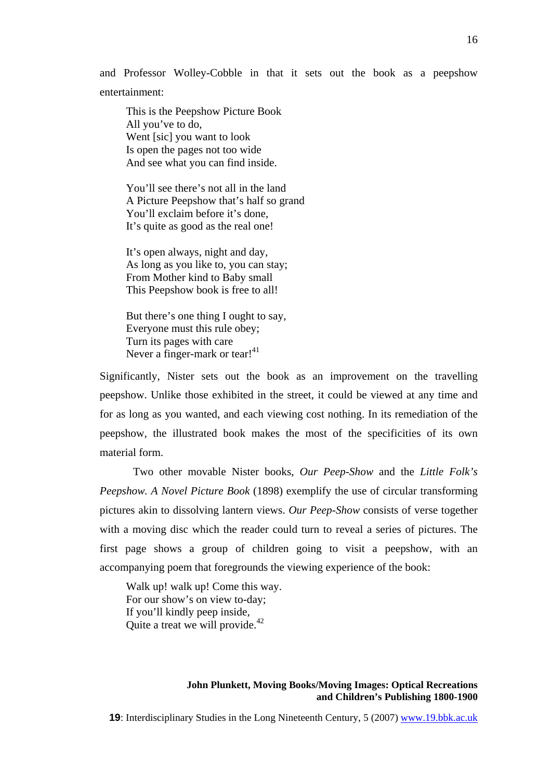and Professor Wolley-Cobble in that it sets out the book as a peepshow entertainment:

This is the Peepshow Picture Book All you've to do, Went [sic] you want to look Is open the pages not too wide And see what you can find inside.

You'll see there's not all in the land A Picture Peepshow that's half so grand You'll exclaim before it's done, It's quite as good as the real one!

It's open always, night and day, As long as you like to, you can stay; From Mother kind to Baby small This Peepshow book is free to all!

But there's one thing I ought to say, Everyone must this rule obey; Turn its pages with care Never a finger-mark or tear!<sup>41</sup>

Significantly, Nister sets out the book as an improvement on the travelling peepshow. Unlike those exhibited in the street, it could be viewed at any time and for as long as you wanted, and each viewing cost nothing. In its remediation of the peepshow, the illustrated book makes the most of the specificities of its own material form.

Two other movable Nister books, *Our Peep-Show* and the *Little Folk's Peepshow. A Novel Picture Book* (1898) exemplify the use of circular transforming pictures akin to dissolving lantern views. *Our Peep-Show* consists of verse together with a moving disc which the reader could turn to reveal a series of pictures. The first page shows a group of children going to visit a peepshow, with an accompanying poem that foregrounds the viewing experience of the book:

Walk up! walk up! Come this way. For our show's on view to-day; If you'll kindly peep inside, Quite a treat we will provide.<sup>42</sup>

### **John Plunkett, Moving Books/Moving Images: Optical Recreations and Children's Publishing 1800-1900**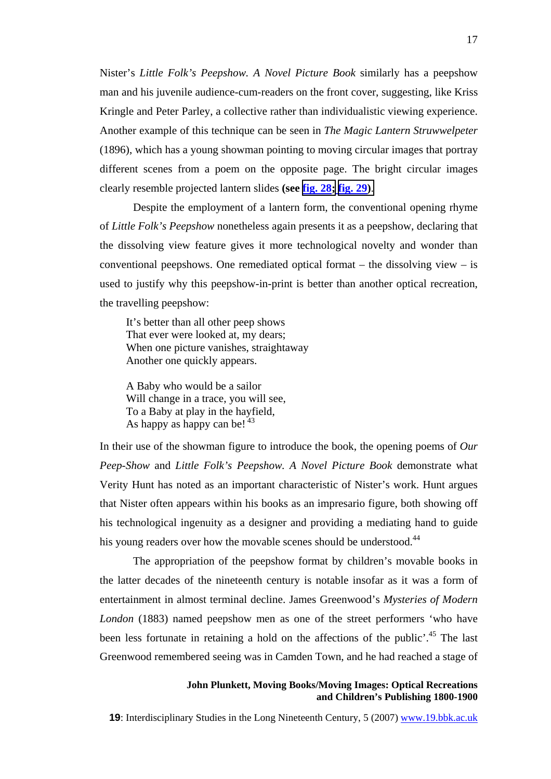Nister's *Little Folk's Peepshow. A Novel Picture Book* similarly has a peepshow man and his juvenile audience-cum-readers on the front cover, suggesting, like Kriss Kringle and Peter Parley, a collective rather than individualistic viewing experience. Another example of this technique can be seen in *The Magic Lantern Struwwelpeter*  (1896), which has a young showman pointing to moving circular images that portray different scenes from a poem on the opposite page. The bright circular images clearly resemble projected lantern slides **(see fig. 2[8;](http://www.19.bbk.ac.uk/public/journals/3/no5_Plunkett_fig28_full.jpg) fig. 29[\)](http://www.19.bbk.ac.uk/public/journals/3/no5_Plunkett_fig29_full.jpg)**.

Despite the employment of a lantern form, the conventional opening rhyme of *Little Folk's Peepshow* nonetheless again presents it as a peepshow, declaring that the dissolving view feature gives it more technological novelty and wonder than conventional peepshows. One remediated optical format – the dissolving view – is used to justify why this peepshow-in-print is better than another optical recreation, the travelling peepshow:

It's better than all other peep shows That ever were looked at, my dears; When one picture vanishes, straightaway Another one quickly appears.

A Baby who would be a sailor Will change in a trace, you will see, To a Baby at play in the hayfield, As happy as happy can be!  $43$ 

In their use of the showman figure to introduce the book, the opening poems of *Our Peep-Show* and *Little Folk's Peepshow. A Novel Picture Book* demonstrate what Verity Hunt has noted as an important characteristic of Nister's work. Hunt argues that Nister often appears within his books as an impresario figure, both showing off his technological ingenuity as a designer and providing a mediating hand to guide his young readers over how the movable scenes should be understood.<sup>[44](#page-26-12)</sup>

The appropriation of the peepshow format by children's movable books in the latter decades of the nineteenth century is notable insofar as it was a form of entertainment in almost terminal decline. James Greenwood's *Mysteries of Modern London* (1883) named peepshow men as one of the street performers 'who have been less fortunate in retaining a hold on the affections of the public'.<sup>45</sup> The last Greenwood remembered seeing was in Camden Town, and he had reached a stage of

### **John Plunkett, Moving Books/Moving Images: Optical Recreations and Children's Publishing 1800-1900**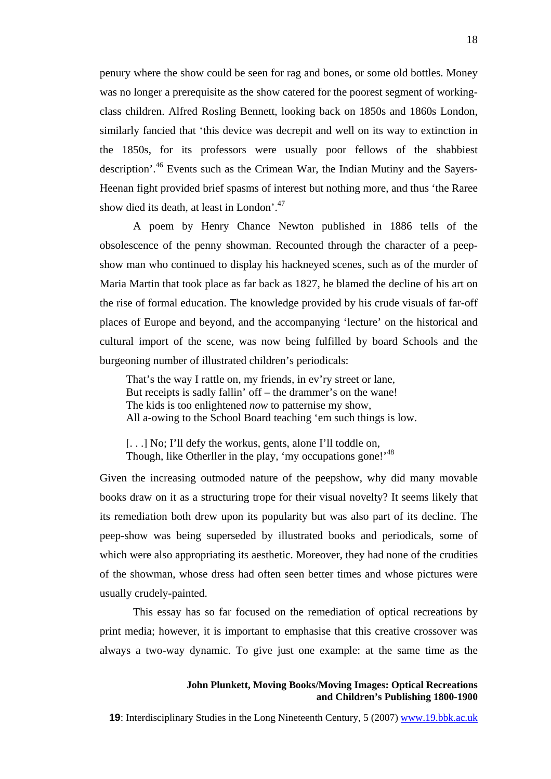penury where the show could be seen for rag and bones, or some old bottles. Money was no longer a prerequisite as the show catered for the poorest segment of workingclass children. Alfred Rosling Bennett, looking back on 1850s and 1860s London, similarly fancied that 'this device was decrepit and well on its way to extinction in the 1850s, for its professors were usually poor fellows of the shabbiest description'[.46](#page-26-35) Events such as the Crimean War, the Indian Mutiny and the Sayers-Heenan fight provided brief spasms of interest but nothing more, and thus 'the Raree show died its death, at least in London'.<sup>47</sup>

A poem by Henry Chance Newton published in 1886 tells of the obsolescence of the penny showman. Recounted through the character of a peepshow man who continued to display his hackneyed scenes, such as of the murder of Maria Martin that took place as far back as 1827, he blamed the decline of his art on the rise of formal education. The knowledge provided by his crude visuals of far-off places of Europe and beyond, and the accompanying 'lecture' on the historical and cultural import of the scene, was now being fulfilled by board Schools and the burgeoning number of illustrated children's periodicals:

That's the way I rattle on, my friends, in ev'ry street or lane, But receipts is sadly fallin' off – the drammer's on the wane! The kids is too enlightened *now* to patternise my show, All a-owing to the School Board teaching 'em such things is low.

[...] No; I'll defy the workus, gents, alone I'll toddle on, Though, like Otherller in the play, 'my occupations gone!'<sup>[48](#page-26-3)</sup>

Given the increasing outmoded nature of the peepshow, why did many movable books draw on it as a structuring trope for their visual novelty? It seems likely that its remediation both drew upon its popularity but was also part of its decline. The peep-show was being superseded by illustrated books and periodicals, some of which were also appropriating its aesthetic. Moreover, they had none of the crudities of the showman, whose dress had often seen better times and whose pictures were usually crudely-painted.

This essay has so far focused on the remediation of optical recreations by print media; however, it is important to emphasise that this creative crossover was always a two-way dynamic. To give just one example: at the same time as the

#### **John Plunkett, Moving Books/Moving Images: Optical Recreations and Children's Publishing 1800-1900**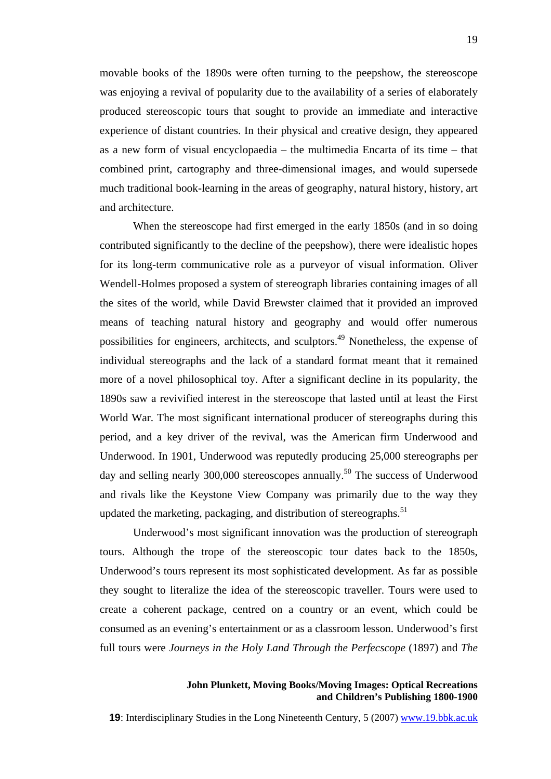movable books of the 1890s were often turning to the peepshow, the stereoscope was enjoying a revival of popularity due to the availability of a series of elaborately produced stereoscopic tours that sought to provide an immediate and interactive experience of distant countries. In their physical and creative design, they appeared as a new form of visual encyclopaedia – the multimedia Encarta of its time – that combined print, cartography and three-dimensional images, and would supersede much traditional book-learning in the areas of geography, natural history, history, art and architecture.

When the stereoscope had first emerged in the early 1850s (and in so doing contributed significantly to the decline of the peepshow), there were idealistic hopes for its long-term communicative role as a purveyor of visual information. Oliver Wendell-Holmes proposed a system of stereograph libraries containing images of all the sites of the world, while David Brewster claimed that it provided an improved means of teaching natural history and geography and would offer numerous possibilities for engineers, architects, and sculptors.[49](#page-26-13) Nonetheless, the expense of individual stereographs and the lack of a standard format meant that it remained more of a novel philosophical toy. After a significant decline in its popularity, the 1890s saw a revivified interest in the stereoscope that lasted until at least the First World War. The most significant international producer of stereographs during this period, and a key driver of the revival, was the American firm Underwood and Underwood. In 1901, Underwood was reputedly producing 25,000 stereographs per day and selling nearly 300,000 stereoscopes annually.<sup>50</sup> The success of Underwood and rivals like the Keystone View Company was primarily due to the way they updated the marketing, packaging, and distribution of stereographs.<sup>51</sup>

Underwood's most significant innovation was the production of stereograph tours. Although the trope of the stereoscopic tour dates back to the 1850s, Underwood's tours represent its most sophisticated development. As far as possible they sought to literalize the idea of the stereoscopic traveller. Tours were used to create a coherent package, centred on a country or an event, which could be consumed as an evening's entertainment or as a classroom lesson. Underwood's first full tours were *Journeys in the Holy Land Through the Perfecscope* (1897) and *The* 

# **John Plunkett, Moving Books/Moving Images: Optical Recreations and Children's Publishing 1800-1900**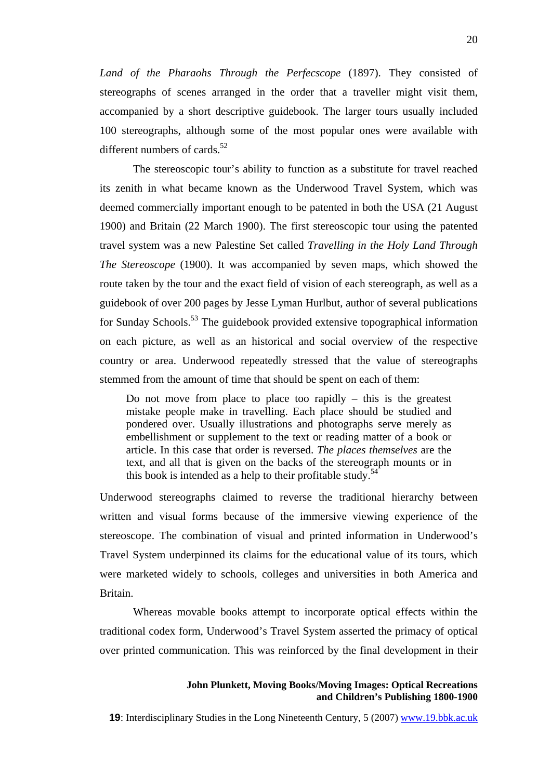*Land of the Pharaohs Through the Perfecscope* (1897). They consisted of stereographs of scenes arranged in the order that a traveller might visit them, accompanied by a short descriptive guidebook. The larger tours usually included 100 stereographs, although some of the most popular ones were available with different numbers of cards.<sup>52</sup>

The stereoscopic tour's ability to function as a substitute for travel reached its zenith in what became known as the Underwood Travel System, which was deemed commercially important enough to be patented in both the USA (21 August 1900) and Britain (22 March 1900). The first stereoscopic tour using the patented travel system was a new Palestine Set called *Travelling in the Holy Land Through The Stereoscope* (1900). It was accompanied by seven maps, which showed the route taken by the tour and the exact field of vision of each stereograph, as well as a guidebook of over 200 pages by Jesse Lyman Hurlbut, author of several publications for Sunday Schools.<sup>53</sup> The guidebook provided extensive topographical information on each picture, as well as an historical and social overview of the respective country or area. Underwood repeatedly stressed that the value of stereographs stemmed from the amount of time that should be spent on each of them:

Do not move from place to place too rapidly  $-$  this is the greatest mistake people make in travelling. Each place should be studied and pondered over. Usually illustrations and photographs serve merely as embellishment or supplement to the text or reading matter of a book or article. In this case that order is reversed. *The places themselves* are the text, and all that is given on the backs of the stereograph mounts or in this book is intended as a help to their profitable study.<sup>[54](#page-26-36)</sup>

Underwood stereographs claimed to reverse the traditional hierarchy between written and visual forms because of the immersive viewing experience of the stereoscope. The combination of visual and printed information in Underwood's Travel System underpinned its claims for the educational value of its tours, which were marketed widely to schools, colleges and universities in both America and Britain.

Whereas movable books attempt to incorporate optical effects within the traditional codex form, Underwood's Travel System asserted the primacy of optical over printed communication. This was reinforced by the final development in their

#### **John Plunkett, Moving Books/Moving Images: Optical Recreations and Children's Publishing 1800-1900**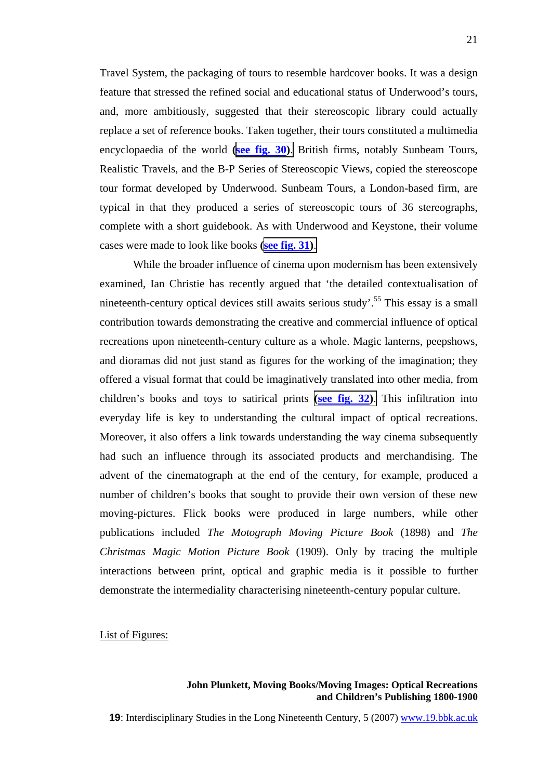Travel System, the packaging of tours to resemble hardcover books. It was a design feature that stressed the refined social and educational status of Underwood's tours, and, more ambitiously, suggested that their stereoscopic library could actually replace a set of reference books. Taken together, their tours constituted a multimedia encyclopaedia of the world **(see fig. 3[0\)](http://www.19.bbk.ac.uk/public/journals/3/no5_Plunkett_fig30_full.jpg)**. British firms, notably Sunbeam Tours, Realistic Travels, and the B-P Series of Stereoscopic Views, copied the stereoscope tour format developed by Underwood. Sunbeam Tours, a London-based firm, are typical in that they produced a series of stereoscopic tours of 36 stereographs, complete with a short guidebook. As with Underwood and Keystone, their volume cases were made to look like books **(see fig. 31[\)](http://www.19.bbk.ac.uk/public/journals/3/no5_Plunkett_fig31_full.jpg)**.

While the broader influence of cinema upon modernism has been extensively examined, Ian Christie has recently argued that 'the detailed contextualisation of nineteenth-century optical devices still awaits serious study.<sup>55</sup> This essay is a small contribution towards demonstrating the creative and commercial influence of optical recreations upon nineteenth-century culture as a whole. Magic lanterns, peepshows, and dioramas did not just stand as figures for the working of the imagination; they offered a visual format that could be imaginatively translated into other media, from children's books and toys to satirical prints **[\(](http://www.19.bbk.ac.uk/public/journals/3/no5_Plunkett_fig32_full.jpg)see fig. 3[2\)](http://www.19.bbk.ac.uk/public/journals/3/no5_Plunkett_fig32_full.jpg)**. This infiltration into everyday life is key to understanding the cultural impact of optical recreations. Moreover, it also offers a link towards understanding the way cinema subsequently had such an influence through its associated products and merchandising. The advent of the cinematograph at the end of the century, for example, produced a number of children's books that sought to provide their own version of these new moving-pictures. Flick books were produced in large numbers, while other publications included *The Motograph Moving Picture Book* (1898) and *The Christmas Magic Motion Picture Book* (1909). Only by tracing the multiple interactions between print, optical and graphic media is it possible to further demonstrate the intermediality characterising nineteenth-century popular culture.

List of Figures:

# **John Plunkett, Moving Books/Moving Images: Optical Recreations and Children's Publishing 1800-1900**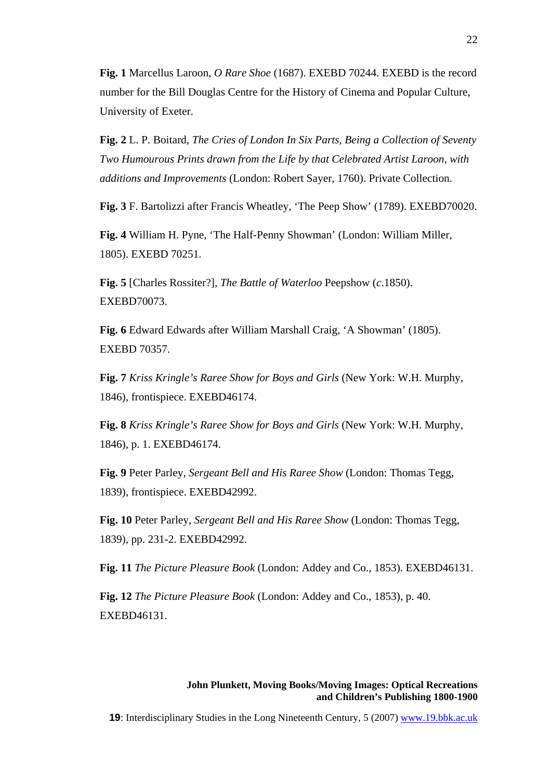**Fig. 1** Marcellus Laroon, *O Rare Shoe* (1687). EXEBD 70244. EXEBD is the record number for the Bill Douglas Centre for the History of Cinema and Popular Culture, University of Exeter.

**Fig. 2** L. P. Boitard, *The Cries of London In Six Parts, Being a Collection of Seventy Two Humourous Prints drawn from the Life by that Celebrated Artist Laroon, with additions and Improvements* (London: Robert Sayer, 1760). Private Collection.

**Fig. 3** F. Bartolizzi after Francis Wheatley, 'The Peep Show' (1789). EXEBD70020.

**Fig. 4** William H. Pyne, 'The Half-Penny Showman' (London: William Miller, 1805). EXEBD 70251.

**Fig. 5** [Charles Rossiter?], *The Battle of Waterloo* Peepshow (*c*.1850). EXEBD70073.

**Fig. 6** Edward Edwards after William Marshall Craig, 'A Showman' (1805). EXEBD 70357.

**Fig. 7** *Kriss Kringle's Raree Show for Boys and Girls* (New York: W.H. Murphy, 1846), frontispiece. EXEBD46174.

**Fig. 8** *Kriss Kringle's Raree Show for Boys and Girls* (New York: W.H. Murphy, 1846), p. 1. EXEBD46174.

**Fig. 9** Peter Parley, *Sergeant Bell and His Raree Show* (London: Thomas Tegg, 1839), frontispiece. EXEBD42992.

**Fig. 10** Peter Parley, *Sergeant Bell and His Raree Show* (London: Thomas Tegg, 1839), pp. 231-2. EXEBD42992.

**Fig. 11** *The Picture Pleasure Book* (London: Addey and Co., 1853). EXEBD46131.

**Fig. 12** *The Picture Pleasure Book* (London: Addey and Co., 1853), p. 40. EXEBD46131.

### **John Plunkett, Moving Books/Moving Images: Optical Recreations and Children's Publishing 1800-1900**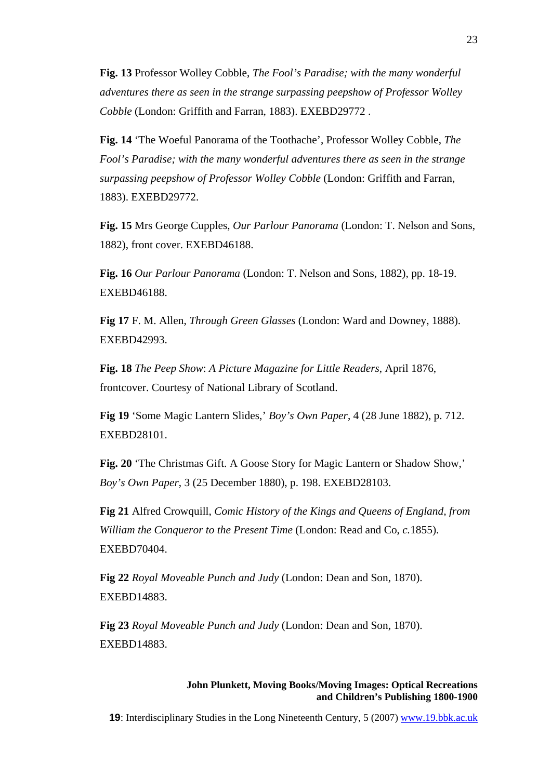**Fig. 13** Professor Wolley Cobble, *The Fool's Paradise; with the many wonderful adventures there as seen in the strange surpassing peepshow of Professor Wolley Cobble* (London: Griffith and Farran, 1883). EXEBD29772 .

**Fig. 14** 'The Woeful Panorama of the Toothache', Professor Wolley Cobble, *The Fool's Paradise; with the many wonderful adventures there as seen in the strange surpassing peepshow of Professor Wolley Cobble* (London: Griffith and Farran, 1883). EXEBD29772.

**Fig. 15** Mrs George Cupples, *Our Parlour Panorama* (London: T. Nelson and Sons, 1882), front cover. EXEBD46188.

**Fig. 16** *Our Parlour Panorama* (London: T. Nelson and Sons, 1882), pp. 18-19. EXEBD46188.

**Fig 17** F. M. Allen, *Through Green Glasses* (London: Ward and Downey, 1888). EXEBD42993.

**Fig. 18** *The Peep Show*: *A Picture Magazine for Little Readers*, April 1876, frontcover. Courtesy of National Library of Scotland.

**Fig 19** 'Some Magic Lantern Slides,' *Boy's Own Paper*, 4 (28 June 1882), p. 712. EXEBD28101.

**Fig. 20** 'The Christmas Gift. A Goose Story for Magic Lantern or Shadow Show,' *Boy's Own Paper*, 3 (25 December 1880), p. 198. EXEBD28103.

**Fig 21** Alfred Crowquill, *Comic History of the Kings and Queens of England, from William the Conqueror to the Present Time* (London: Read and Co, *c.*1855). EXEBD70404.

**Fig 22** *Royal Moveable Punch and Judy* (London: Dean and Son, 1870). EXEBD14883.

**Fig 23** *Royal Moveable Punch and Judy* (London: Dean and Son, 1870). EXEBD14883.

### **John Plunkett, Moving Books/Moving Images: Optical Recreations and Children's Publishing 1800-1900**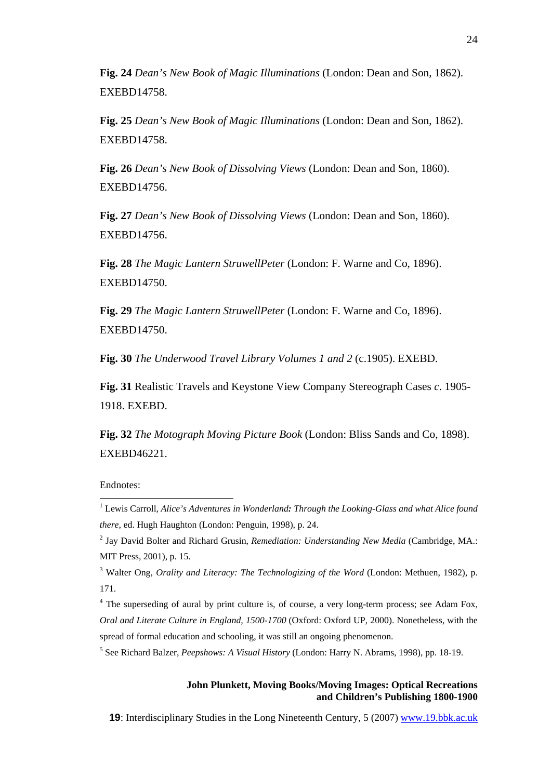**Fig. 24** *Dean's New Book of Magic Illuminations* (London: Dean and Son, 1862). EXEBD14758.

**Fig. 25** *Dean's New Book of Magic Illuminations* (London: Dean and Son, 1862). EXEBD14758.

**Fig. 26** *Dean's New Book of Dissolving Views* (London: Dean and Son, 1860). EXEBD14756.

**Fig. 27** *Dean's New Book of Dissolving Views* (London: Dean and Son, 1860). EXEBD14756.

**Fig. 28** *The Magic Lantern StruwellPeter* (London: F. Warne and Co, 1896). EXEBD14750.

**Fig. 29** *The Magic Lantern StruwellPeter* (London: F. Warne and Co, 1896). EXEBD14750.

**Fig. 30** *The Underwood Travel Library Volumes 1 and 2* (c.1905). EXEBD.

**Fig. 31** Realistic Travels and Keystone View Company Stereograph Cases *c*. 1905- 1918. EXEBD.

**Fig. 32** *The Motograph Moving Picture Book* (London: Bliss Sands and Co, 1898). EXEBD46221.

Endnotes:

 $\overline{a}$ 

# **John Plunkett, Moving Books/Moving Images: Optical Recreations and Children's Publishing 1800-1900**

<sup>1</sup> Lewis Carroll, *Alice's Adventures in Wonderland: Through the Looking-Glass and what Alice found there*, ed. Hugh Haughton (London: Penguin, 1998), p. 24.

<sup>2</sup> Jay David Bolter and Richard Grusin, *Remediation: Understanding New Media* (Cambridge, MA.: MIT Press, 2001), p. 15.

<sup>&</sup>lt;sup>3</sup> Walter Ong, *Orality and Literacy: The Technologizing of the Word* (London: Methuen, 1982), p. 171.

<sup>&</sup>lt;sup>4</sup> The superseding of aural by print culture is, of course, a very long-term process; see Adam Fox, *Oral and Literate Culture in England, 1500-1700* (Oxford: Oxford UP, 2000). Nonetheless, with the spread of formal education and schooling, it was still an ongoing phenomenon.

<sup>5</sup> See Richard Balzer, *Peepshows: A Visual History* (London: Harry N. Abrams, 1998), pp. 18-19.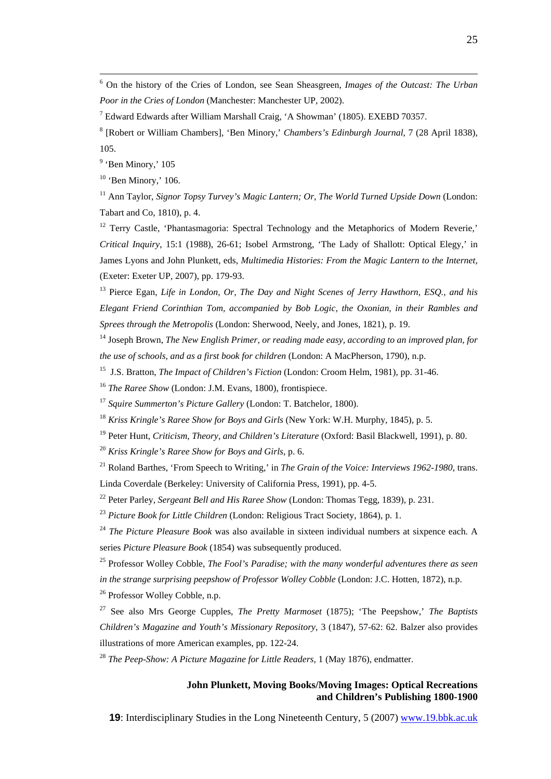6 On the history of the Cries of London, see Sean Sheasgreen, *Images of the Outcast: The Urban Poor in the Cries of London* (Manchester: Manchester UP, 2002).

<sup>7</sup> Edward Edwards after William Marshall Craig, 'A Showman' (1805). EXEBD 70357.

8 [Robert or William Chambers], 'Ben Minory,' *Chambers's Edinburgh Journal*, 7 (28 April 1838), 105.

<sup>9</sup> 'Ben Minory,' 105

 $10$  'Ben Minory,' 106.

<sup>11</sup> Ann Taylor, *Signor Topsy Turvey's Magic Lantern; Or, The World Turned Upside Down* (London: Tabart and Co, 1810), p. 4.

<sup>12</sup> Terry Castle, 'Phantasmagoria: Spectral Technology and the Metaphorics of Modern Reverie,' *Critical Inquiry*, 15:1 (1988), 26-61; Isobel Armstrong, 'The Lady of Shallott: Optical Elegy,' in James Lyons and John Plunkett, eds, *Multimedia Histories: From the Magic Lantern to the Internet*, (Exeter: Exeter UP, 2007), pp. 179-93.

13 Pierce Egan, *Life in London, Or, The Day and Night Scenes of Jerry Hawthorn, ESQ., and his Elegant Friend Corinthian Tom, accompanied by Bob Logic, the Oxonian, in their Rambles and Sprees through the Metropolis* (London: Sherwood, Neely, and Jones, 1821), p. 19.

14 Joseph Brown, *The New English Primer, or reading made easy, according to an improved plan, for the use of schools, and as a first book for children* (London: A MacPherson, 1790), n.p.

15 J.S. Bratton, *The Impact of Children's Fiction* (London: Croom Helm, 1981), pp. 31-46.

<sup>16</sup> *The Raree Show* (London: J.M. Evans, 1800), frontispiece.

<sup>17</sup> *Squire Summerton's Picture Gallery* (London: T. Batchelor, 1800).

<sup>18</sup> *Kriss Kringle's Raree Show for Boys and Girls* (New York: W.H. Murphy, 1845), p. 5.

<sup>19</sup> Peter Hunt, *Criticism, Theory, and Children's Literature* (Oxford: Basil Blackwell, 1991), p. 80.

<sup>20</sup> *Kriss Kringle's Raree Show for Boys and Girls*, p. 6.

21 Roland Barthes, 'From Speech to Writing,' in *The Grain of the Voice: Interviews 1962-1980*, trans. Linda Coverdale (Berkeley: University of California Press, 1991), pp. 4-5.

22 Peter Parley, *Sergeant Bell and His Raree Show* (London: Thomas Tegg, 1839), p. 231.

<sup>23</sup> *Picture Book for Little Children* (London: Religious Tract Society, 1864), p. 1.

<sup>24</sup> *The Picture Pleasure Book* was also available in sixteen individual numbers at sixpence each. A series *Picture Pleasure Book* (1854) was subsequently produced.

25 Professor Wolley Cobble, *The Fool's Paradise; with the many wonderful adventures there as seen in the strange surprising peepshow of Professor Wolley Cobble* (London: J.C. Hotten, 1872), n.p.

26 Professor Wolley Cobble, n.p.

<sup>27</sup> See also Mrs George Cupples, *The Pretty Marmoset* (1875); 'The Peepshow,' *The Baptists Children's Magazine and Youth's Missionary Repository*, 3 (1847), 57-62: 62. Balzer also provides illustrations of more American examples, pp. 122-24.

<sup>28</sup> *The Peep-Show: A Picture Magazine for Little Readers,* 1 (May 1876), endmatter.

# **John Plunkett, Moving Books/Moving Images: Optical Recreations and Children's Publishing 1800-1900**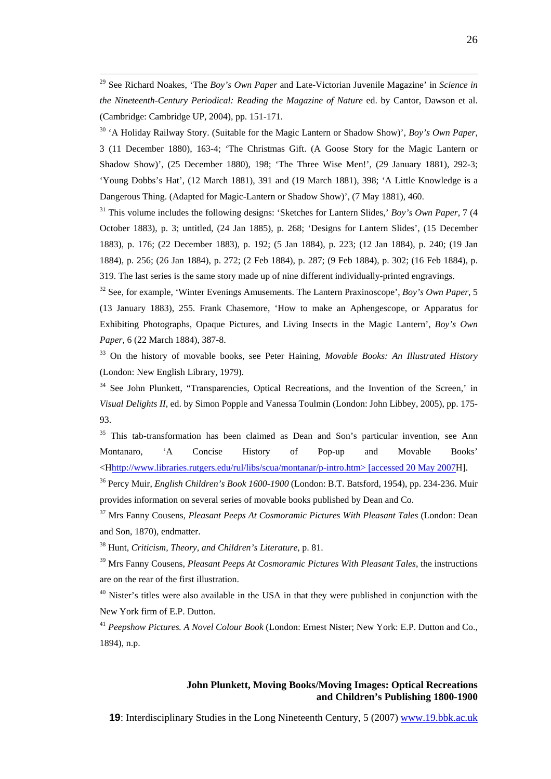29 See Richard Noakes, 'The *Boy's Own Paper* and Late-Victorian Juvenile Magazine' in *Science in the Nineteenth-Century Periodical: Reading the Magazine of Nature* ed. by Cantor, Dawson et al. (Cambridge: Cambridge UP, 2004), pp. 151-171.

<sup>30</sup> 'A Holiday Railway Story. (Suitable for the Magic Lantern or Shadow Show)', *Boy's Own Paper*, 3 (11 December 1880), 163-4; 'The Christmas Gift. (A Goose Story for the Magic Lantern or Shadow Show)', (25 December 1880), 198; 'The Three Wise Men!', (29 January 1881), 292-3; 'Young Dobbs's Hat', (12 March 1881), 391 and (19 March 1881), 398; 'A Little Knowledge is a Dangerous Thing. (Adapted for Magic-Lantern or Shadow Show)', (7 May 1881), 460.

<sup>31</sup> This volume includes the following designs: 'Sketches for Lantern Slides,' *Boy's Own Paper*, 7 (4 October 1883), p. 3; untitled, (24 Jan 1885), p. 268; 'Designs for Lantern Slides', (15 December 1883), p. 176; (22 December 1883), p. 192; (5 Jan 1884), p. 223; (12 Jan 1884), p. 240; (19 Jan 1884), p. 256; (26 Jan 1884), p. 272; (2 Feb 1884), p. 287; (9 Feb 1884), p. 302; (16 Feb 1884), p. 319. The last series is the same story made up of nine different individually-printed engravings.

32 See, for example, 'Winter Evenings Amusements. The Lantern Praxinoscope', *Boy's Own Paper*, 5 (13 January 1883), 255. Frank Chasemore, 'How to make an Aphengescope, or Apparatus for Exhibiting Photographs, Opaque Pictures, and Living Insects in the Magic Lantern', *Boy's Own Paper*, 6 (22 March 1884), 387-8.

<sup>33</sup> On the history of movable books, see Peter Haining, *Movable Books: An Illustrated History*  (London: New English Library, 1979).

<sup>34</sup> See John Plunkett, "Transparencies, Optical Recreations, and the Invention of the Screen,' in *Visual Delights II*, ed. by Simon Popple and Vanessa Toulmin (London: John Libbey, 2005), pp. 175- 93.

<sup>35</sup> This tab-transformation has been claimed as Dean and Son's particular invention, see Ann Montanaro, 'A Concise History of Pop-up and Movable Books' <Hhttp://www.libraries.rutgers.edu/rul/libs/scua/montanar/p-intro.htm> [accessed 20 May 2007H].

36 Percy Muir, *English Children's Book 1600-1900* (London: B.T. Batsford, 1954), pp. 234-236. Muir provides information on several series of movable books published by Dean and Co.

37 Mrs Fanny Cousens, *Pleasant Peeps At Cosmoramic Pictures With Pleasant Tales* (London: Dean and Son, 1870), endmatter.

38 Hunt, *Criticism, Theory, and Children's Literature*, p. 81.

39 Mrs Fanny Cousens*, Pleasant Peeps At Cosmoramic Pictures With Pleasant Tales*, the instructions are on the rear of the first illustration.

 $40$  Nister's titles were also available in the USA in that they were published in conjunction with the New York firm of E.P. Dutton.

<sup>41</sup> *Peepshow Pictures. A Novel Colour Book* (London: Ernest Nister; New York: E.P. Dutton and Co., 1894), n.p.

# **John Plunkett, Moving Books/Moving Images: Optical Recreations and Children's Publishing 1800-1900**